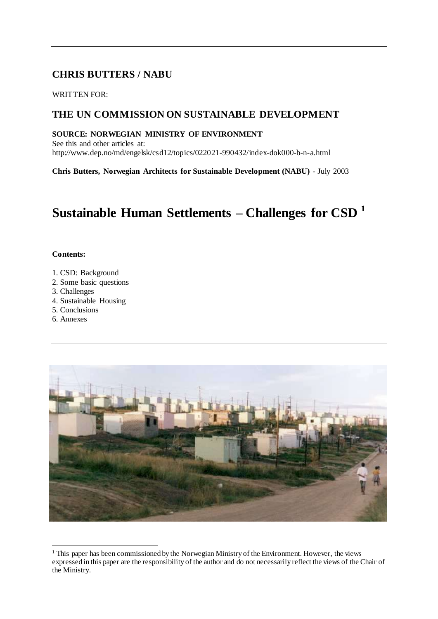## **CHRIS BUTTERS / NABU**

WRITTEN FOR:

## **THE UN COMMISSION ON SUSTAINABLE DEVELOPMENT**

### **SOURCE: NORWEGIAN MINISTRY OF ENVIRONMENT**

See this and other articles at: http://www.dep.no/md/engelsk/csd12/topics/022021-990432/index-dok000-b-n-a.html

**Chris Butters, Norwegian Architects for Sustainable Development (NABU)** - July 2003

# **Sustainable Human Settlements – Challenges for CSD <sup>1</sup>**

### **Contents:**

- 1. CSD: Background
- 2. Some basic questions
- 3. Challenges
- 4. Sustainable Housing
- 5. Conclusions
- 6. Annexes



 $\overline{a}$ <sup>1</sup> This paper has been commissioned by the Norwegian Ministry of the Environment. However, the views expressed in this paper are the responsibility of the author and do not necessarily reflect the views of the Chair of the Ministry.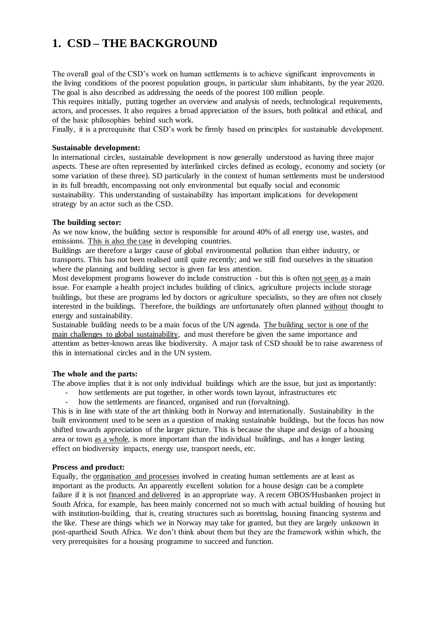# **1. CSD – THE BACKGROUND**

The overall goal of the CSD's work on human settlements is to achieve significant improvements in the living conditions of the poorest population groups, in particular slum inhabitants, by the year 2020. The goal is also described as addressing the needs of the poorest 100 million people.

This requires initially, putting together an overview and analysis of needs, technological requirements, actors, and processes. It also requires a broad appreciation of the issues, both political and ethical, and of the basic philosophies behind such work.

Finally, it is a prerequisite that CSD's work be firmly based on principles for sustainable development.

### **Sustainable development:**

In international circles, sustainable development is now generally understood as having three major aspects. These are often represented by interlinked circles defined as ecology, economy and society (or some variation of these three). SD particularly in the context of human settlements must be understood in its full breadth, encompassing not only environmental but equally social and economic sustainability. This understanding of sustainability has important implications for development strategy by an actor such as the CSD.

### **The building sector:**

As we now know, the building sector is responsible for around 40% of all energy use, wastes, and emissions. This is also the case in developing countries.

Buildings are therefore a larger cause of global environmental pollution than either industry, or transports. This has not been realised until quite recently; and we still find ourselves in the situation where the planning and building sector is given far less attention.

Most development programs however do include construction - but this is often not seen as a main issue. For example a health project includes building of clinics, agriculture projects include storage buildings, but these are programs led by doctors or agriculture specialists, so they are often not closely interested in the buildings. Therefore, the buildings are unfortunately often planned without thought to energy and sustainability.

Sustainable building needs to be a main focus of the UN agenda. The building sector is one of the main challenges to global sustainability, and must therefore be given the same importance and attention as better-known areas like biodiversity. A major task of CSD should be to raise awareness of this in international circles and in the UN system.

### **The whole and the parts:**

The above implies that it is not only individual buildings which are the issue, but just as importantly:

- how settlements are put together, in other words town layout, infrastructures etc how the settlements are financed organised and run (forvaltning)
	- how the settlements are financed, organised and run (forvaltning).

This is in line with state of the art thinking both in Norway and internationally. Sustainability in the built environment used to be seen as a question of making sustainable buildings, but the focus has now shifted towards appreciation of the larger picture. This is because the shape and design of a housing area or town as a whole, is more important than the individual buildings, and has a longer lasting effect on biodiversity impacts, energy use, transport needs, etc.

### **Process and product:**

Equally, the organisation and processes involved in creating human settlements are at least as important as the products. An apparently excellent solution for a house design can be a complete failure if it is not financed and delivered in an appropriate way. A recent OBOS/Husbanken project in South Africa, for example, has been mainly concerned not so much with actual building of housing but with institution-building, that is, creating structures such as borettslag, housing financing systems and the like. These are things which we in Norway may take for granted, but they are largely unknown in post-apartheid South Africa. We don't think about them but they are the framework within which, the very prerequisites for a housing programme to succeed and function.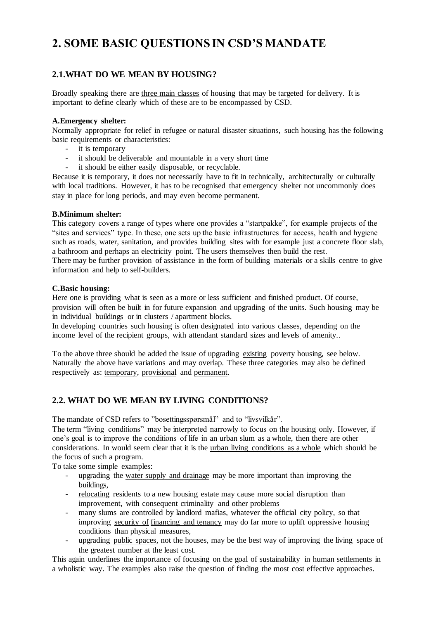## **2. SOME BASIC QUESTIONS IN CSD'S MANDATE**

## **2.1.WHAT DO WE MEAN BY HOUSING?**

Broadly speaking there are three main classes of housing that may be targeted for delivery. It is important to define clearly which of these are to be encompassed by CSD.

### **A.Emergency shelter:**

Normally appropriate for relief in refugee or natural disaster situations, such housing has the following basic requirements or characteristics:

- it is temporary
- it should be deliverable and mountable in a very short time
- it should be either easily disposable, or recyclable.

Because it is temporary, it does not necessarily have to fit in technically, architecturally or culturally with local traditions. However, it has to be recognised that emergency shelter not uncommonly does stay in place for long periods, and may even become permanent.

### **B.Minimum shelter:**

This category covers a range of types where one provides a "startpakke", for example projects of the "sites and services" type. In these, one sets up the basic infrastructures for access, health and hygiene such as roads, water, sanitation, and provides building sites with for example just a concrete floor slab, a bathroom and perhaps an electricity point. The users themselves then build the rest.

There may be further provision of assistance in the form of building materials or a skills centre to give information and help to self-builders.

### **C.Basic housing:**

Here one is providing what is seen as a more or less sufficient and finished product. Of course, provision will often be built in for future expansion and upgrading of the units. Such housing may be in individual buildings or in clusters / apartment blocks.

In developing countries such housing is often designated into various classes, depending on the income level of the recipient groups, with attendant standard sizes and levels of amenity..

To the above three should be added the issue of upgrading existing poverty housing, see below. Naturally the above have variations and may overlap. These three categories may also be defined respectively as: temporary, provisional and permanent.

### **2.2. WHAT DO WE MEAN BY LIVING CONDITIONS?**

The mandate of CSD refers to "bosettingsspørsmål" and to "livsvilkår".

The term "living conditions" may be interpreted narrowly to focus on the housing only. However, if one's goal is to improve the conditions of life in an urban slum as a whole, then there are other considerations. In would seem clear that it is the urban living conditions as a whole which should be the focus of such a program.

To take some simple examples:

- upgrading the water supply and drainage may be more important than improving the buildings,
- relocating residents to a new housing estate may cause more social disruption than improvement, with consequent criminality and other problems
- many slums are controlled by landlord mafias, whatever the official city policy, so that improving security of financing and tenancy may do far more to uplift oppressive housing conditions than physical measures,
- upgrading public spaces, not the houses, may be the best way of improving the living space of the greatest number at the least cost.

This again underlines the importance of focusing on the goal of sustainability in human settlements in a wholistic way. The examples also raise the question of finding the most cost effective approaches.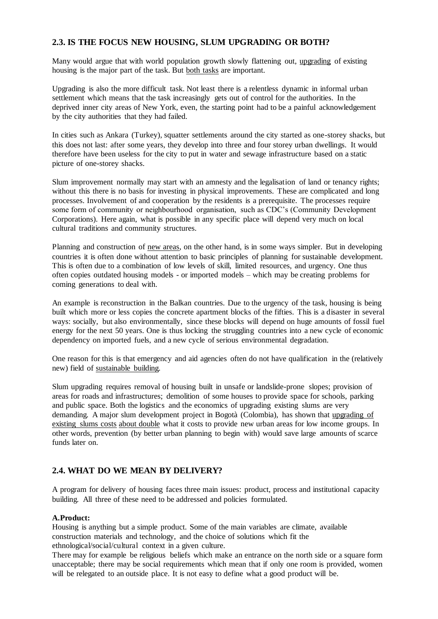### **2.3. IS THE FOCUS NEW HOUSING, SLUM UPGRADING OR BOTH?**

Many would argue that with world population growth slowly flattening out, upgrading of existing housing is the major part of the task. But both tasks are important.

Upgrading is also the more difficult task. Not least there is a relentless dynamic in informal urban settlement which means that the task increasingly gets out of control for the authorities. In the deprived inner city areas of New York, even, the starting point had to be a painful acknowledgement by the city authorities that they had failed.

In cities such as Ankara (Turkey), squatter settlements around the city started as one-storey shacks, but this does not last: after some years, they develop into three and four storey urban dwellings. It would therefore have been useless for the city to put in water and sewage infrastructure based on a static picture of one-storey shacks.

Slum improvement normally may start with an amnesty and the legalisation of land or tenancy rights; without this there is no basis for investing in physical improvements. These are complicated and long processes. Involvement of and cooperation by the residents is a prerequisite. The processes require some form of community or neighbourhood organisation, such as CDC's (Community Development Corporations). Here again, what is possible in any specific place will depend very much on local cultural traditions and community structures.

Planning and construction of new areas, on the other hand, is in some ways simpler. But in developing countries it is often done without attention to basic principles of planning for sustainable development. This is often due to a combination of low levels of skill, limited resources, and urgency. One thus often copies outdated housing models - or imported models – which may be creating problems for coming generations to deal with.

An example is reconstruction in the Balkan countries. Due to the urgency of the task, housing is being built which more or less copies the concrete apartment blocks of the fifties. This is a disaster in several ways: socially, but also environmentally, since these blocks will depend on huge amounts of fossil fuel energy for the next 50 years. One is thus locking the struggling countries into a new cycle of economic dependency on imported fuels, and a new cycle of serious environmental degradation.

One reason for this is that emergency and aid agencies often do not have qualification in the (relatively new) field of sustainable building.

Slum upgrading requires removal of housing built in unsafe or landslide-prone slopes; provision of areas for roads and infrastructures; demolition of some houses to provide space for schools, parking and public space. Both the logistics and the economics of upgrading existing slums are very demanding. A major slum development project in Bogotà (Colombia), has shown that upgrading of existing slums costs about double what it costs to provide new urban areas for low income groups. In other words, prevention (by better urban planning to begin with) would save large amounts of scarce funds later on.

### **2.4. WHAT DO WE MEAN BY DELIVERY?**

A program for delivery of housing faces three main issues: product, process and institutional capacity building. All three of these need to be addressed and policies formulated.

### **A.Product:**

Housing is anything but a simple product. Some of the main variables are climate, available construction materials and technology, and the choice of solutions which fit the ethnological/social/cultural context in a given culture.

There may for example be religious beliefs which make an entrance on the north side or a square form unacceptable; there may be social requirements which mean that if only one room is provided, women will be relegated to an outside place. It is not easy to define what a good product will be.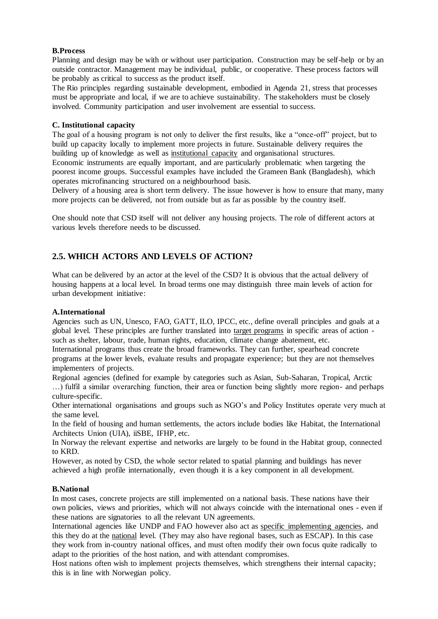### **B.Process**

Planning and design may be with or without user participation. Construction may be self-help or by an outside contractor. Management may be individual, public, or cooperative. These process factors will be probably as critical to success as the product itself.

The Rio principles regarding sustainable development, embodied in Agenda 21, stress that processes must be appropriate and local, if we are to achieve sustainability. The stakeholders must be closely involved. Community participation and user involvement are essential to success.

### **C. Institutional capacity**

The goal of a housing program is not only to deliver the first results, like a "once-off" project, but to build up capacity locally to implement more projects in future. Sustainable delivery requires the building up of knowledge as well as institutional capacity and organisational structures. Economic instruments are equally important, and are particularly problematic when targeting the poorest income groups. Successful examples have included the Grameen Bank (Bangladesh), which operates microfinancing structured on a neighbourhood basis.

Delivery of a housing area is short term delivery. The issue however is how to ensure that many, many more projects can be delivered, not from outside but as far as possible by the country itself.

One should note that CSD itself will not deliver any housing projects. The role of different actors at various levels therefore needs to be discussed.

### **2.5. WHICH ACTORS AND LEVELS OF ACTION?**

What can be delivered by an actor at the level of the CSD? It is obvious that the actual delivery of housing happens at a local level. In broad terms one may distinguish three main levels of action for urban development initiative:

### **A.International**

Agencies such as UN, Unesco, FAO, GATT, ILO, IPCC, etc., define overall principles and goals at a global level. These principles are further translated into target programs in specific areas of action such as shelter, labour, trade, human rights, education, climate change abatement, etc.

International programs thus create the broad frameworks. They can further, spearhead concrete programs at the lower levels, evaluate results and propagate experience; but they are not themselves implementers of projects.

Regional agencies (defined for example by categories such as Asian, Sub-Saharan, Tropical, Arctic …) fulfil a similar overarching function, their area or function being slightly more region- and perhaps culture-specific.

Other international organisations and groups such as NGO's and Policy Institutes operate very much at the same level.

In the field of housing and human settlements, the actors include bodies like Habitat, the International Architects Union (UIA), iiSBE, IFHP, etc.

In Norway the relevant expertise and networks are largely to be found in the Habitat group, connected to KRD.

However, as noted by CSD, the whole sector related to spatial planning and buildings has never achieved a high profile internationally, even though it is a key component in all development.

#### **B.National**

In most cases, concrete projects are still implemented on a national basis. These nations have their own policies, views and priorities, which will not always coincide with the international ones - even if these nations are signatories to all the relevant UN agreements.

International agencies like UNDP and FAO however also act as specific implementing agencies, and this they do at the national level. (They may also have regional bases, such as ESCAP). In this case they work from in-country national offices, and must often modify their own focus quite radically to adapt to the priorities of the host nation, and with attendant compromises.

Host nations often wish to implement projects themselves, which strengthens their internal capacity; this is in line with Norwegian policy.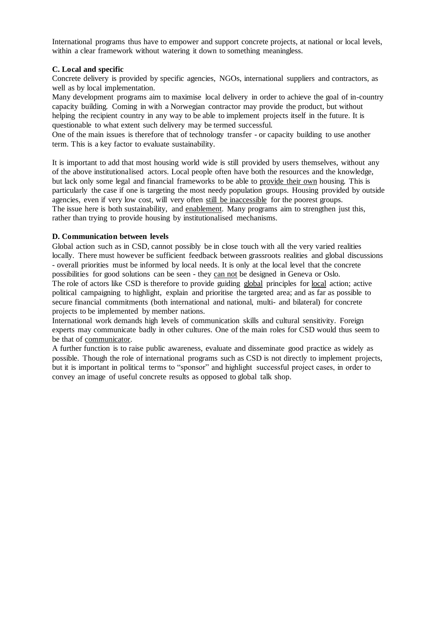International programs thus have to empower and support concrete projects, at national or local levels, within a clear framework without watering it down to something meaningless.

### **C. Local and specific**

Concrete delivery is provided by specific agencies, NGOs, international suppliers and contractors, as well as by local implementation.

Many development programs aim to maximise local delivery in order to achieve the goal of in-country capacity building. Coming in with a Norwegian contractor may provide the product, but without helping the recipient country in any way to be able to implement projects itself in the future. It is questionable to what extent such delivery may be termed successful.

One of the main issues is therefore that of technology transfer - or capacity building to use another term. This is a key factor to evaluate sustainability.

It is important to add that most housing world wide is still provided by users themselves, without any of the above institutionalised actors. Local people often have both the resources and the knowledge, but lack only some legal and financial frameworks to be able to provide their own housing. This is particularly the case if one is targeting the most needy population groups. Housing provided by outside agencies, even if very low cost, will very often still be inaccessible for the poorest groups. The issue here is both sustainability, and enablement. Many programs aim to strengthen just this, rather than trying to provide housing by institutionalised mechanisms.

### **D. Communication between levels**

Global action such as in CSD, cannot possibly be in close touch with all the very varied realities locally. There must however be sufficient feedback between grassroots realities and global discussions - overall priorities must be informed by local needs. It is only at the local level that the concrete possibilities for good solutions can be seen - they can not be designed in Geneva or Oslo. The role of actors like CSD is therefore to provide guiding global principles for local action; active political campaigning to highlight, explain and prioritise the targeted area; and as far as possible to secure financial commitments (both international and national, multi- and bilateral) for concrete projects to be implemented by member nations.

International work demands high levels of communication skills and cultural sensitivity. Foreign experts may communicate badly in other cultures. One of the main roles for CSD would thus seem to be that of communicator.

A further function is to raise public awareness, evaluate and disseminate good practice as widely as possible. Though the role of international programs such as CSD is not directly to implement projects, but it is important in political terms to "sponsor" and highlight successful project cases, in order to convey an image of useful concrete results as opposed to global talk shop.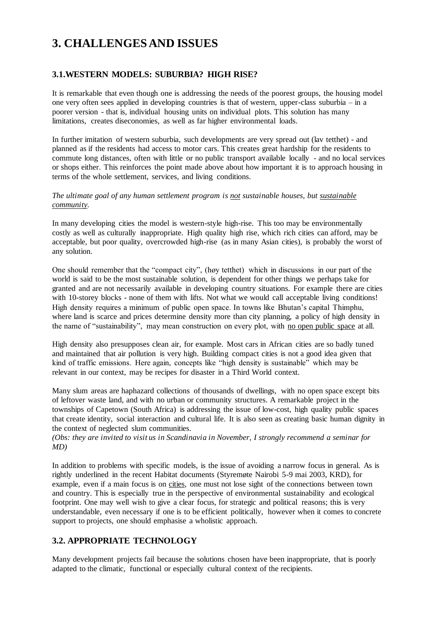## **3. CHALLENGES AND ISSUES**

### **3.1.WESTERN MODELS: SUBURBIA? HIGH RISE?**

It is remarkable that even though one is addressing the needs of the poorest groups, the housing model one very often sees applied in developing countries is that of western, upper-class suburbia – in a poorer version - that is, individual housing units on individual plots. This solution has many limitations, creates diseconomies, as well as far higher environmental loads.

In further imitation of western suburbia, such developments are very spread out (lav tetthet) - and planned as if the residents had access to motor cars. This creates great hardship for the residents to commute long distances, often with little or no public transport available locally - and no local services or shops either. This reinforces the point made above about how important it is to approach housing in terms of the whole settlement, services, and living conditions.

### *The ultimate goal of any human settlement program is not sustainable houses, but sustainable community.*

In many developing cities the model is western-style high-rise. This too may be environmentally costly as well as culturally inappropriate. High quality high rise, which rich cities can afford, may be acceptable, but poor quality, overcrowded high-rise (as in many Asian cities), is probably the worst of any solution.

One should remember that the "compact city", (høy tetthet) which in discussions in our part of the world is said to be the most sustainable solution, is dependent for other things we perhaps take for granted and are not necessarily available in developing country situations. For example there are cities with 10-storey blocks - none of them with lifts. Not what we would call acceptable living conditions! High density requires a minimum of public open space. In towns like Bhutan's capital Thimphu, where land is scarce and prices determine density more than city planning, a policy of high density in the name of "sustainability", may mean construction on every plot, with no open public space at all.

High density also presupposes clean air, for example. Most cars in African cities are so badly tuned and maintained that air pollution is very high. Building compact cities is not a good idea given that kind of traffic emissions. Here again, concepts like "high density is sustainable" which may be relevant in our context, may be recipes for disaster in a Third World context.

Many slum areas are haphazard collections of thousands of dwellings, with no open space except bits of leftover waste land, and with no urban or community structures. A remarkable project in the townships of Capetown (South Africa) is addressing the issue of low-cost, high quality public spaces that create identity, social interaction and cultural life. It is also seen as creating basic human dignity in the context of neglected slum communities.

*(Obs: they are invited to visit us in Scandinavia in November, I strongly recommend a seminar for MD)*

In addition to problems with specific models, is the issue of avoiding a narrow focus in general. As is rightly underlined in the recent Habitat documents (Styremøte Nairobi 5-9 mai 2003, KRD), for example, even if a main focus is on cities, one must not lose sight of the connections between town and country. This is especially true in the perspective of environmental sustainability and ecological footprint. One may well wish to give a clear focus, for strategic and political reasons; this is very understandable, even necessary if one is to be efficient politically, however when it comes to concrete support to projects, one should emphasise a wholistic approach.

### **3.2. APPROPRIATE TECHNOLOGY**

Many development projects fail because the solutions chosen have been inappropriate, that is poorly adapted to the climatic, functional or especially cultural context of the recipients.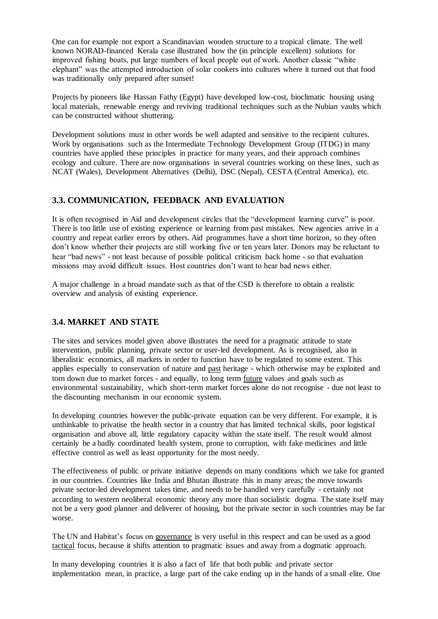One can for example not export a Scandinavian wooden structure to a tropical climate. The well known NORAD-financed Kerala case illustrated how the (in principle excellent) solutions for improved fishing boats, put large numbers of local people out of work. Another classic "white elephant" was the attempted introduction of solar cookers into cultures where it turned out that food was traditionally only prepared after sunset!

Projects by pioneers like Hassan Fathy (Egypt) have developed low-cost, bioclimatic housing using local materials, renewable energy and reviving traditional techniques such as the Nubian vaults which can be constructed without shuttering.

Development solutions must in other words be well adapted and sensitive to the recipient cultures. Work by organisations such as the Intermediate Technology Development Group (ITDG) in many countries have applied these principles in practice for many years, and their approach combines ecology and culture. There are now organisations in several countries working on these lines, such as NCAT (Wales), Development Alternatives (Delhi), DSC (Nepal), CESTA (Central America), etc.

### **3.3. COMMUNICATION, FEEDBACK AND EVALUATION**

It is often recognised in Aid and development circles that the "development learning curve" is poor. There is too little use of existing experience or learning from past mistakes. New agencies arrive in a country and repeat earlier errors by others. Aid programmes have a short time horizon, so they often don't know whether their projects are still working five or ten years later. Donors may be reluctant to hear "bad news" - not least because of possible political criticism back home - so that evaluation missions may avoid difficult issues. Host countries don't want to hear bad news either.

A major challenge in a broad mandate such as that of the CSD is therefore to obtain a realistic overview and analysis of existing experience.

### **3.4. MARKET AND STATE**

The sites and services model given above illustrates the need for a pragmatic attitude to state intervention, public planning, private sector or user-led development. As is recognised, also in liberalistic economics, all markets in order to function have to be regulated to some extent. This applies especially to conservation of nature and past heritage - which otherwise may be exploited and torn down due to market forces - and equally, to long term future values and goals such as environmental sustainability, which short-term market forces alone do not recognise - due not least to the discounting mechanism in our economic system.

In developing countries however the public-private equation can be very different. For example, it is unthinkable to privatise the health sector in a country that has limited technical skills, poor logistical organisation and above all, little regulatory capacity within the state itself. The result would almost certainly be a badly coordinated health system, prone to corruption, with fake medicines and little effective control as well as least opportunity for the most needy.

The effectiveness of public or private initiative depends on many conditions which we take for granted in our countries. Countries like India and Bhutan illustrate this in many areas; the move towards private sector-led development takes time, and needs to be handled very carefully - certainly not according to western neoliberal economic theory any more than socialistic dogma. The state itself may not be a very good planner and deliverer of housing, but the private sector in such countries may be far worse.

The UN and Habitat's focus on governance is very useful in this respect and can be used as a good tactical focus, because it shifts attention to pragmatic issues and away from a dogmatic approach.

In many developing countries it is also a fact of life that both public and private sector implementation mean, in practice, a large part of the cake ending up in the hands of a small elite. One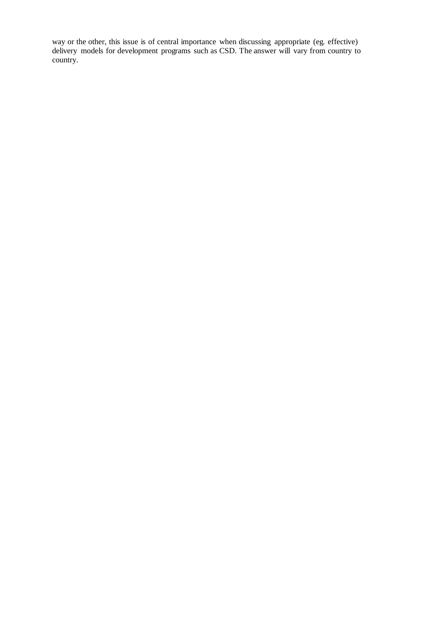way or the other, this issue is of central importance when discussing appropriate (eg. effective) delivery models for development programs such as CSD. The answer will vary from country to country.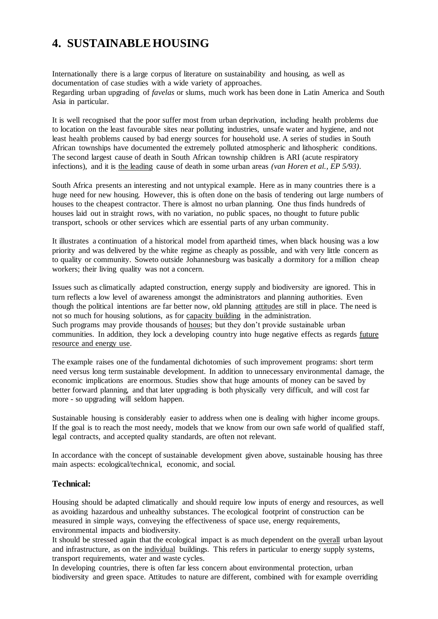## **4. SUSTAINABLE HOUSING**

Internationally there is a large corpus of literature on sustainability and housing, as well as documentation of case studies with a wide variety of approaches. Regarding urban upgrading of *favelas* or slums, much work has been done in Latin America and South Asia in particular.

It is well recognised that the poor suffer most from urban deprivation, including health problems due to location on the least favourable sites near polluting industries, unsafe water and hygiene, and not least health problems caused by bad energy sources for household use. A series of studies in South African townships have documented the extremely polluted atmospheric and lithospheric conditions. The second largest cause of death in South African township children is ARI (acute respiratory infections), and it is the leading cause of death in some urban areas *(van Horen et al., EP 5/93)*.

South Africa presents an interesting and not untypical example. Here as in many countries there is a huge need for new housing. However, this is often done on the basis of tendering out large numbers of houses to the cheapest contractor. There is almost no urban planning. One thus finds hundreds of houses laid out in straight rows, with no variation, no public spaces, no thought to future public transport, schools or other services which are essential parts of any urban community.

It illustrates a continuation of a historical model from apartheid times, when black housing was a low priority and was delivered by the white regime as cheaply as possible, and with very little concern as to quality or community. Soweto outside Johannesburg was basically a dormitory for a million cheap workers; their living quality was not a concern.

Issues such as climatically adapted construction, energy supply and biodiversity are ignored. This in turn reflects a low level of awareness amongst the administrators and planning authorities. Even though the political intentions are far better now, old planning attitudes are still in place. The need is not so much for housing solutions, as for capacity building in the administration. Such programs may provide thousands of houses; but they don't provide sustainable urban communities. In addition, they lock a developing country into huge negative effects as regards future resource and energy use.

The example raises one of the fundamental dichotomies of such improvement programs: short term need versus long term sustainable development. In addition to unnecessary environmental damage, the economic implications are enormous. Studies show that huge amounts of money can be saved by better forward planning, and that later upgrading is both physically very difficult, and will cost far more - so upgrading will seldom happen.

Sustainable housing is considerably easier to address when one is dealing with higher income groups. If the goal is to reach the most needy, models that we know from our own safe world of qualified staff, legal contracts, and accepted quality standards, are often not relevant.

In accordance with the concept of sustainable development given above, sustainable housing has three main aspects: ecological/technical, economic, and social.

### **Technical:**

Housing should be adapted climatically and should require low inputs of energy and resources, as well as avoiding hazardous and unhealthy substances. The ecological footprint of construction can be measured in simple ways, conveying the effectiveness of space use, energy requirements, environmental impacts and biodiversity.

It should be stressed again that the ecological impact is as much dependent on the overall urban layout and infrastructure, as on the individual buildings. This refers in particular to energy supply systems, transport requirements, water and waste cycles.

In developing countries, there is often far less concern about environmental protection, urban biodiversity and green space. Attitudes to nature are different, combined with for example overriding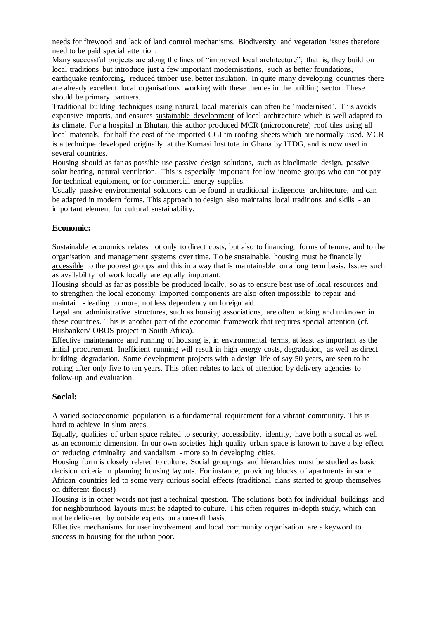needs for firewood and lack of land control mechanisms. Biodiversity and vegetation issues therefore need to be paid special attention.

Many successful projects are along the lines of "improved local architecture"; that is, they build on local traditions but introduce just a few important modernisations, such as better foundations, earthquake reinforcing, reduced timber use, better insulation. In quite many developing countries there are already excellent local organisations working with these themes in the building sector. These should be primary partners.

Traditional building techniques using natural, local materials can often be 'modernised'. This avoids expensive imports, and ensures sustainable development of local architecture which is well adapted to its climate. For a hospital in Bhutan, this author produced MCR (microconcrete) roof tiles using all local materials, for half the cost of the imported CGI tin roofing sheets which are normally used. MCR is a technique developed originally at the Kumasi Institute in Ghana by ITDG, and is now used in several countries.

Housing should as far as possible use passive design solutions, such as bioclimatic design, passive solar heating, natural ventilation. This is especially important for low income groups who can not pay for technical equipment, or for commercial energy supplies.

Usually passive environmental solutions can be found in traditional indigenous architecture, and can be adapted in modern forms. This approach to design also maintains local traditions and skills - an important element for cultural sustainability.

### **Economic:**

Sustainable economics relates not only to direct costs, but also to financing, forms of tenure, and to the organisation and management systems over time. To be sustainable, housing must be financially accessible to the poorest groups and this in a way that is maintainable on a long term basis. Issues such as availability of work locally are equally important.

Housing should as far as possible be produced locally, so as to ensure best use of local resources and to strengthen the local economy. Imported components are also often impossible to repair and maintain - leading to more, not less dependency on foreign aid.

Legal and administrative structures, such as housing associations, are often lacking and unknown in these countries. This is another part of the economic framework that requires special attention (cf. Husbanken/ OBOS project in South Africa).

Effective maintenance and running of housing is, in environmental terms, at least as important as the initial procurement. Inefficient running will result in high energy costs, degradation, as well as direct building degradation. Some development projects with a design life of say 50 years, are seen to be rotting after only five to ten years. This often relates to lack of attention by delivery agencies to follow-up and evaluation.

### **Social:**

A varied socioeconomic population is a fundamental requirement for a vibrant community. This is hard to achieve in slum areas.

Equally, qualities of urban space related to security, accessibility, identity, have both a social as well as an economic dimension. In our own societies high quality urban space is known to have a big effect on reducing criminality and vandalism - more so in developing cities.

Housing form is closely related to culture. Social groupings and hierarchies must be studied as basic decision criteria in planning housing layouts. For instance, providing blocks of apartments in some African countries led to some very curious social effects (traditional clans started to group themselves on different floors!)

Housing is in other words not just a technical question. The solutions both for individual buildings and for neighbourhood layouts must be adapted to culture. This often requires in-depth study, which can not be delivered by outside experts on a one-off basis.

Effective mechanisms for user involvement and local community organisation are a keyword to success in housing for the urban poor.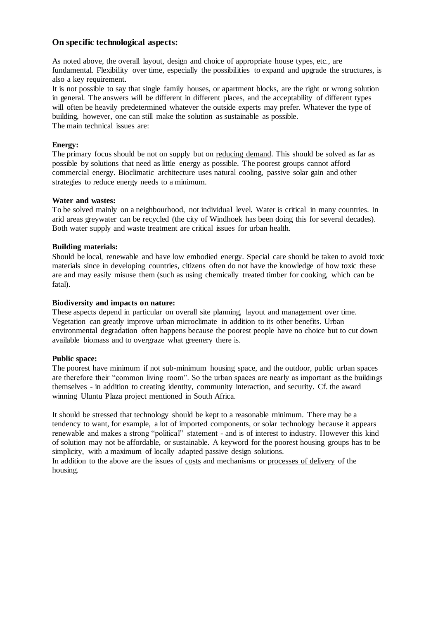### **On specific technological aspects:**

As noted above, the overall layout, design and choice of appropriate house types, etc., are fundamental. Flexibility over time, especially the possibilities to expand and upgrade the structures, is also a key requirement.

It is not possible to say that single family houses, or apartment blocks, are the right or wrong solution in general. The answers will be different in different places, and the acceptability of different types will often be heavily predetermined whatever the outside experts may prefer. Whatever the type of building, however, one can still make the solution as sustainable as possible. The main technical issues are:

### **Energy:**

The primary focus should be not on supply but on reducing demand. This should be solved as far as possible by solutions that need as little energy as possible. The poorest groups cannot afford commercial energy. Bioclimatic architecture uses natural cooling, passive solar gain and other strategies to reduce energy needs to a minimum.

### **Water and wastes:**

To be solved mainly on a neighbourhood, not individual level. Water is critical in many countries. In arid areas greywater can be recycled (the city of Windhoek has been doing this for several decades). Both water supply and waste treatment are critical issues for urban health.

### **Building materials:**

Should be local, renewable and have low embodied energy. Special care should be taken to avoid toxic materials since in developing countries, citizens often do not have the knowledge of how toxic these are and may easily misuse them (such as using chemically treated timber for cooking, which can be fatal).

### **Biodiversity and impacts on nature:**

These aspects depend in particular on overall site planning, layout and management over time. Vegetation can greatly improve urban microclimate in addition to its other benefits. Urban environmental degradation often happens because the poorest people have no choice but to cut down available biomass and to overgraze what greenery there is.

#### **Public space:**

The poorest have minimum if not sub-minimum housing space, and the outdoor, public urban spaces are therefore their "common living room". So the urban spaces are nearly as important as the buildings themselves - in addition to creating identity, community interaction, and security. Cf. the award winning Uluntu Plaza project mentioned in South Africa.

It should be stressed that technology should be kept to a reasonable minimum. There may be a tendency to want, for example, a lot of imported components, or solar technology because it appears renewable and makes a strong "political" statement - and is of interest to industry. However this kind of solution may not be affordable, or sustainable. A keyword for the poorest housing groups has to be simplicity, with a maximum of locally adapted passive design solutions.

In addition to the above are the issues of costs and mechanisms or processes of delivery of the housing.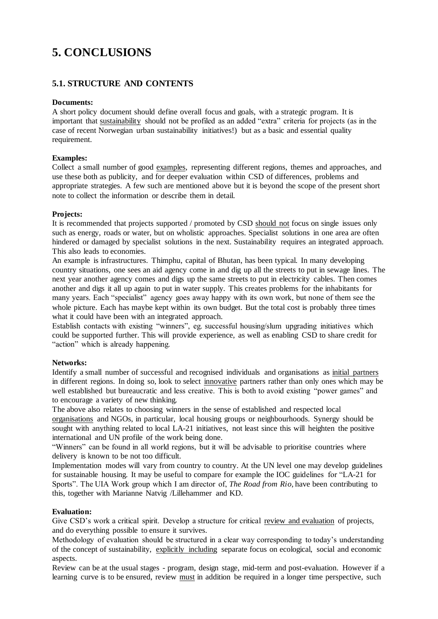# **5. CONCLUSIONS**

### **5.1. STRUCTURE AND CONTENTS**

### **Documents:**

A short policy document should define overall focus and goals, with a strategic program. It is important that sustainability should not be profiled as an added "extra" criteria for projects (as in the case of recent Norwegian urban sustainability initiatives!) but as a basic and essential quality requirement.

### **Examples:**

Collect a small number of good examples, representing different regions, themes and approaches, and use these both as publicity, and for deeper evaluation within CSD of differences, problems and appropriate strategies. A few such are mentioned above but it is beyond the scope of the present short note to collect the information or describe them in detail.

### **Projects:**

It is recommended that projects supported / promoted by CSD should not focus on single issues only such as energy, roads or water, but on wholistic approaches. Specialist solutions in one area are often hindered or damaged by specialist solutions in the next. Sustainability requires an integrated approach. This also leads to economies.

An example is infrastructures. Thimphu, capital of Bhutan, has been typical. In many developing country situations, one sees an aid agency come in and dig up all the streets to put in sewage lines. The next year another agency comes and digs up the same streets to put in electricity cables. Then comes another and digs it all up again to put in water supply. This creates problems for the inhabitants for many years. Each "specialist" agency goes away happy with its own work, but none of them see the whole picture. Each has maybe kept within its own budget. But the total cost is probably three times what it could have been with an integrated approach.

Establish contacts with existing "winners", eg. successful housing/slum upgrading initiatives which could be supported further. This will provide experience, as well as enabling CSD to share credit for "action" which is already happening.

### **Networks:**

Identify a small number of successful and recognised individuals and organisations as initial partners in different regions. In doing so, look to select innovative partners rather than only ones which may be well established but bureaucratic and less creative. This is both to avoid existing "power games" and to encourage a variety of new thinking.

The above also relates to choosing winners in the sense of established and respected local organisations and NGOs, in particular, local housing groups or neighbourhoods. Synergy should be sought with anything related to local LA-21 initiatives, not least since this will heighten the positive international and UN profile of the work being done.

"Winners" can be found in all world regions, but it will be advisable to prioritise countries where delivery is known to be not too difficult.

Implementation modes will vary from country to country. At the UN level one may develop guidelines for sustainable housing. It may be useful to compare for example the IOC guidelines for "LA-21 for Sports". The UIA Work group which I am director of, *The Road from Rio*, have been contributing to this, together with Marianne Natvig /Lillehammer and KD.

### **Evaluation:**

Give CSD's work a critical spirit. Develop a structure for critical review and evaluation of projects, and do everything possible to ensure it survives.

Methodology of evaluation should be structured in a clear way corresponding to today's understanding of the concept of sustainability, explicitly including separate focus on ecological, social and economic aspects.

Review can be at the usual stages - program, design stage, mid-term and post-evaluation. However if a learning curve is to be ensured, review must in addition be required in a longer time perspective, such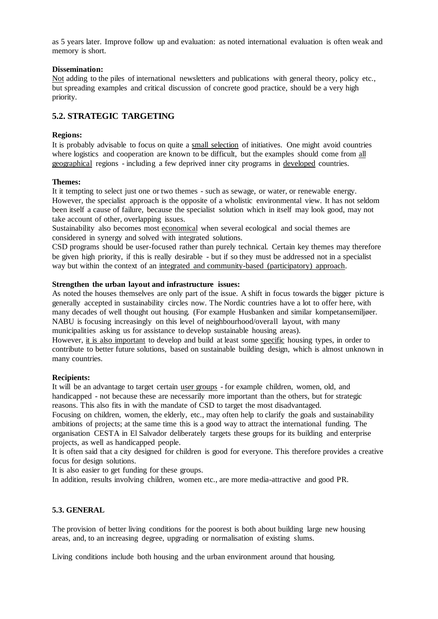as 5 years later. Improve follow up and evaluation: as noted international evaluation is often weak and memory is short.

### **Dissemination:**

Not adding to the piles of international newsletters and publications with general theory, policy etc., but spreading examples and critical discussion of concrete good practice, should be a very high priority.

## **5.2. STRATEGIC TARGETING**

### **Regions:**

It is probably advisable to focus on quite a small selection of initiatives. One might avoid countries where logistics and cooperation are known to be difficult, but the examples should come from all geographical regions - including a few deprived inner city programs in developed countries.

### **Themes:**

It it tempting to select just one or two themes - such as sewage, or water, or renewable energy. However, the specialist approach is the opposite of a wholistic environmental view. It has not seldom been itself a cause of failure, because the specialist solution which in itself may look good, may not take account of other, overlapping issues.

Sustainability also becomes most economical when several ecological and social themes are considered in synergy and solved with integrated solutions.

CSD programs should be user-focused rather than purely technical. Certain key themes may therefore be given high priority, if this is really desirable - but if so they must be addressed not in a specialist way but within the context of an integrated and community-based (participatory) approach.

### **Strengthen the urban layout and infrastructure issues:**

As noted the houses themselves are only part of the issue. A shift in focus towards the bigger picture is generally accepted in sustainability circles now. The Nordic countries have a lot to offer here, with many decades of well thought out housing. (For example Husbanken and similar kompetansemiljøer. NABU is focusing increasingly on this level of neighbourhood/overall layout, with many municipalities asking us for assistance to develop sustainable housing areas).

However, it is also important to develop and build at least some specific housing types, in order to contribute to better future solutions, based on sustainable building design, which is almost unknown in many countries.

### **Recipients:**

It will be an advantage to target certain user groups - for example children, women, old, and handicapped - not because these are necessarily more important than the others, but for strategic reasons. This also fits in with the mandate of CSD to target the most disadvantaged.

Focusing on children, women, the elderly, etc., may often help to clarify the goals and sustainability ambitions of projects; at the same time this is a good way to attract the international funding. The organisation CESTA in El Salvador deliberately targets these groups for its building and enterprise projects, as well as handicapped people.

It is often said that a city designed for children is good for everyone. This therefore provides a creative focus for design solutions.

It is also easier to get funding for these groups.

In addition, results involving children, women etc., are more media-attractive and good PR.

### **5.3. GENERAL**

The provision of better living conditions for the poorest is both about building large new housing areas, and, to an increasing degree, upgrading or normalisation of existing slums.

Living conditions include both housing and the urban environment around that housing.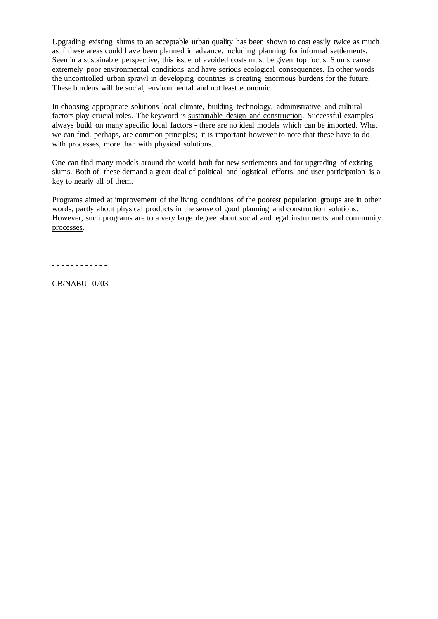Upgrading existing slums to an acceptable urban quality has been shown to cost easily twice as much as if these areas could have been planned in advance, including planning for informal settlements. Seen in a sustainable perspective, this issue of avoided costs must be given top focus. Slums cause extremely poor environmental conditions and have serious ecological consequences. In other words the uncontrolled urban sprawl in developing countries is creating enormous burdens for the future. These burdens will be social, environmental and not least economic.

In choosing appropriate solutions local climate, building technology, administrative and cultural factors play crucial roles. The keyword is sustainable design and construction. Successful examples always build on many specific local factors - there are no ideal models which can be imported. What we can find, perhaps, are common principles; it is important however to note that these have to do with processes, more than with physical solutions.

One can find many models around the world both for new settlements and for upgrading of existing slums. Both of these demand a great deal of political and logistical efforts, and user participation is a key to nearly all of them.

Programs aimed at improvement of the living conditions of the poorest population groups are in other words, partly about physical products in the sense of good planning and construction solutions. However, such programs are to a very large degree about social and legal instruments and community processes.

- - - - - - - - - - - -

CB/NABU 0703